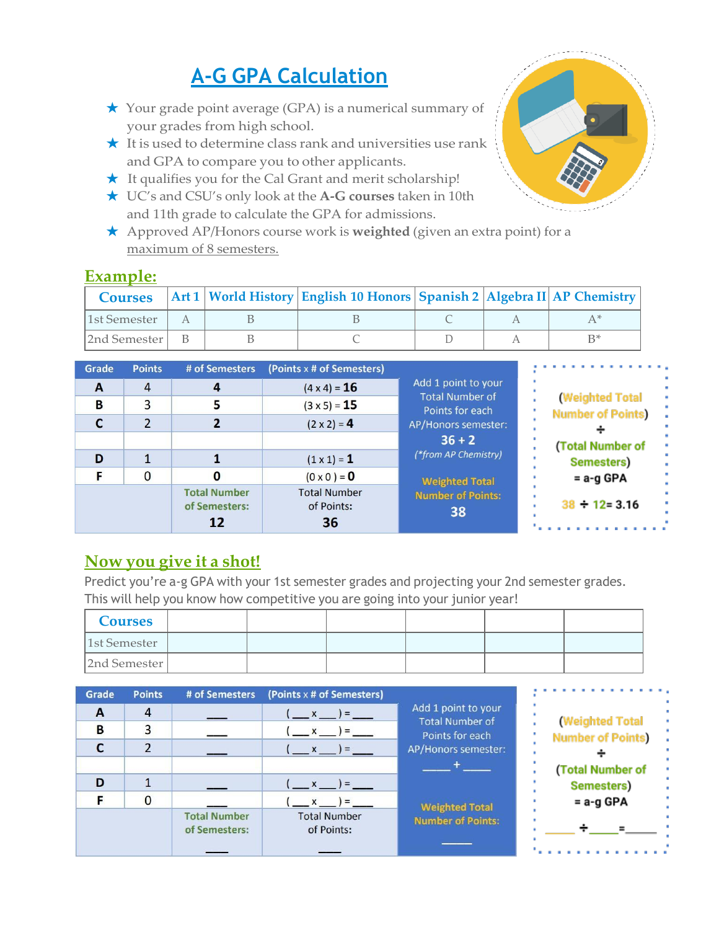# **A-G GPA Calculation**

- ★ Your grade point average (GPA) is a numerical summary of your grades from high school.
- $\star$  It is used to determine class rank and universities use rank and GPA to compare you to other applicants.
- ★ It qualifies you for the Cal Grant and merit scholarship!
- ★ UC's and CSU's only look at the **A-G courses** taken in 10th and 11th grade to calculate the GPA for admissions.
- ★ Approved AP/Honors course work is **weighted** (given an extra point) for a maximum of 8 semesters.

| <b>Courses</b> |  | Art 1   World History   English 10 Honors   Spanish 2   Algebra II   AP Chemistry |  |  |
|----------------|--|-----------------------------------------------------------------------------------|--|--|
| 1st Semester   |  |                                                                                   |  |  |
| 2nd Semester   |  |                                                                                   |  |  |

| Grade | <b>Points</b>  | # of Semesters                             | (Points x # of Semesters)               |                                           |                                                    |
|-------|----------------|--------------------------------------------|-----------------------------------------|-------------------------------------------|----------------------------------------------------|
| A     | $\overline{4}$ | $\boldsymbol{4}$                           | $(4 \times 4) = 16$                     | Add 1 point to your                       |                                                    |
| B     | 3              |                                            | $(3 \times 5) = 15$                     | <b>Total Number of</b><br>Points for each | <b>(Weighted Total</b><br><b>Number of Points)</b> |
|       |                |                                            | $(2 \times 2) = 4$                      | AP/Honors semester:                       |                                                    |
|       |                |                                            |                                         | $36 + 2$                                  | (Total Number of                                   |
| D     |                |                                            | $(1 \times 1) = 1$                      | (*from AP Chemistry)                      | Semesters)                                         |
|       | $\Omega$       |                                            | $(0 \times 0) = 0$                      | <b>Weighted Total</b>                     | = a-g GPA                                          |
|       |                | <b>Total Number</b><br>of Semesters:<br>12 | <b>Total Number</b><br>of Points:<br>36 | <b>Number of Points:</b><br>38            | $38 \div 12 = 3.16$                                |

### **Now you give it a shot!**

Predict you're a-g GPA with your 1st semester grades and projecting your 2nd semester grades. This will help you know how competitive you are going into your junior year!

| <b>Courses</b> |  |  |  |
|----------------|--|--|--|
| 1st Semester   |  |  |  |
| 2nd Semester   |  |  |  |

| Grade        | <b>Points</b> | # of Semesters                       | (Points x # of Semesters)         |                                           |                                                    |
|--------------|---------------|--------------------------------------|-----------------------------------|-------------------------------------------|----------------------------------------------------|
| $\mathbf{A}$ | 4             |                                      | $(x - x) =$                       | Add 1 point to your                       |                                                    |
| B            |               |                                      | $\mathbf{x}$ $\mathbf{y}$ =       | <b>Total Number of</b><br>Points for each | <b>(Weighted Total</b><br><b>Number of Points)</b> |
|              |               |                                      | $\mathbf{x} = \mathbf{y}$         | AP/Honors semester:                       |                                                    |
|              |               |                                      |                                   |                                           | (Total Number of                                   |
| D            |               |                                      | $x = ) =$                         |                                           | Semesters)                                         |
|              | 0             |                                      | $x = 0$                           | <b>Weighted Total</b>                     | $= a - g GPA$                                      |
|              |               | <b>Total Number</b><br>of Semesters: | <b>Total Number</b><br>of Points: | <b>Number of Points:</b>                  |                                                    |